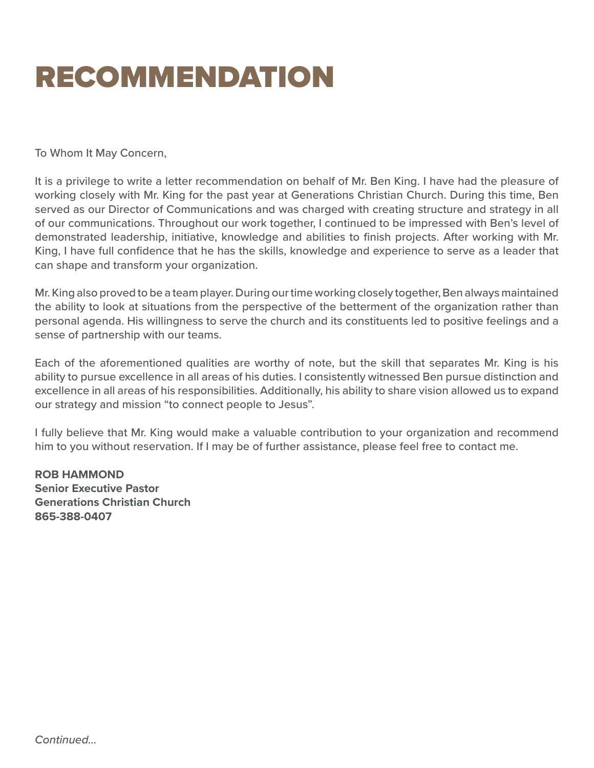## RECOMMENDATION

To Whom It May Concern,

It is a privilege to write a letter recommendation on behalf of Mr. Ben King. I have had the pleasure of working closely with Mr. King for the past year at Generations Christian Church. During this time, Ben served as our Director of Communications and was charged with creating structure and strategy in all of our communications. Throughout our work together, I continued to be impressed with Ben's level of demonstrated leadership, initiative, knowledge and abilities to finish projects. After working with Mr. King, I have full confidence that he has the skills, knowledge and experience to serve as a leader that can shape and transform your organization.

Mr. King also proved to be a team player. During our time working closely together, Ben always maintained the ability to look at situations from the perspective of the betterment of the organization rather than personal agenda. His willingness to serve the church and its constituents led to positive feelings and a sense of partnership with our teams.

Each of the aforementioned qualities are worthy of note, but the skill that separates Mr. King is his ability to pursue excellence in all areas of his duties. I consistently witnessed Ben pursue distinction and excellence in all areas of his responsibilities. Additionally, his ability to share vision allowed us to expand our strategy and mission "to connect people to Jesus".

I fully believe that Mr. King would make a valuable contribution to your organization and recommend him to you without reservation. If I may be of further assistance, please feel free to contact me.

**ROB HAMMOND Senior Executive Pastor Generations Christian Church 865-388-0407**